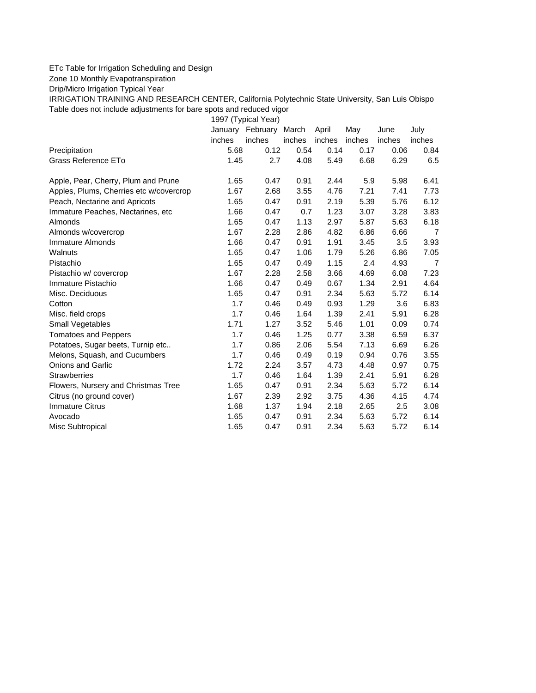## ETc Table for Irrigation Scheduling and Design

Zone 10 Monthly Evapotranspiration

Drip/Micro Irrigation Typical Year

IRRIGATION TRAINING AND RESEARCH CENTER, California Polytechnic State University, San Luis Obispo Table does not include adjustments for bare spots and reduced vigor

1997 (Typical Year)

|                                         |        | January February March |        | April  | May    | June   | July           |
|-----------------------------------------|--------|------------------------|--------|--------|--------|--------|----------------|
|                                         | inches | inches                 | inches | inches | inches | inches | inches         |
| Precipitation                           | 5.68   | 0.12                   | 0.54   | 0.14   | 0.17   | 0.06   | 0.84           |
| Grass Reference ETo                     | 1.45   | 2.7                    | 4.08   | 5.49   | 6.68   | 6.29   | 6.5            |
| Apple, Pear, Cherry, Plum and Prune     | 1.65   | 0.47                   | 0.91   | 2.44   | 5.9    | 5.98   | 6.41           |
| Apples, Plums, Cherries etc w/covercrop | 1.67   | 2.68                   | 3.55   | 4.76   | 7.21   | 7.41   | 7.73           |
| Peach, Nectarine and Apricots           | 1.65   | 0.47                   | 0.91   | 2.19   | 5.39   | 5.76   | 6.12           |
| Immature Peaches, Nectarines, etc       | 1.66   | 0.47                   | 0.7    | 1.23   | 3.07   | 3.28   | 3.83           |
| Almonds                                 | 1.65   | 0.47                   | 1.13   | 2.97   | 5.87   | 5.63   | 6.18           |
| Almonds w/covercrop                     | 1.67   | 2.28                   | 2.86   | 4.82   | 6.86   | 6.66   | $\overline{7}$ |
| Immature Almonds                        | 1.66   | 0.47                   | 0.91   | 1.91   | 3.45   | 3.5    | 3.93           |
| Walnuts                                 | 1.65   | 0.47                   | 1.06   | 1.79   | 5.26   | 6.86   | 7.05           |
| Pistachio                               | 1.65   | 0.47                   | 0.49   | 1.15   | 2.4    | 4.93   | $\overline{7}$ |
| Pistachio w/ covercrop                  | 1.67   | 2.28                   | 2.58   | 3.66   | 4.69   | 6.08   | 7.23           |
| Immature Pistachio                      | 1.66   | 0.47                   | 0.49   | 0.67   | 1.34   | 2.91   | 4.64           |
| Misc. Deciduous                         | 1.65   | 0.47                   | 0.91   | 2.34   | 5.63   | 5.72   | 6.14           |
| Cotton                                  | 1.7    | 0.46                   | 0.49   | 0.93   | 1.29   | 3.6    | 6.83           |
| Misc. field crops                       | 1.7    | 0.46                   | 1.64   | 1.39   | 2.41   | 5.91   | 6.28           |
| Small Vegetables                        | 1.71   | 1.27                   | 3.52   | 5.46   | 1.01   | 0.09   | 0.74           |
| <b>Tomatoes and Peppers</b>             | 1.7    | 0.46                   | 1.25   | 0.77   | 3.38   | 6.59   | 6.37           |
| Potatoes, Sugar beets, Turnip etc       | 1.7    | 0.86                   | 2.06   | 5.54   | 7.13   | 6.69   | 6.26           |
| Melons, Squash, and Cucumbers           | 1.7    | 0.46                   | 0.49   | 0.19   | 0.94   | 0.76   | 3.55           |
| <b>Onions and Garlic</b>                | 1.72   | 2.24                   | 3.57   | 4.73   | 4.48   | 0.97   | 0.75           |
| <b>Strawberries</b>                     | 1.7    | 0.46                   | 1.64   | 1.39   | 2.41   | 5.91   | 6.28           |
| Flowers, Nursery and Christmas Tree     | 1.65   | 0.47                   | 0.91   | 2.34   | 5.63   | 5.72   | 6.14           |
| Citrus (no ground cover)                | 1.67   | 2.39                   | 2.92   | 3.75   | 4.36   | 4.15   | 4.74           |
| <b>Immature Citrus</b>                  | 1.68   | 1.37                   | 1.94   | 2.18   | 2.65   | 2.5    | 3.08           |
| Avocado                                 | 1.65   | 0.47                   | 0.91   | 2.34   | 5.63   | 5.72   | 6.14           |
| Misc Subtropical                        | 1.65   | 0.47                   | 0.91   | 2.34   | 5.63   | 5.72   | 6.14           |